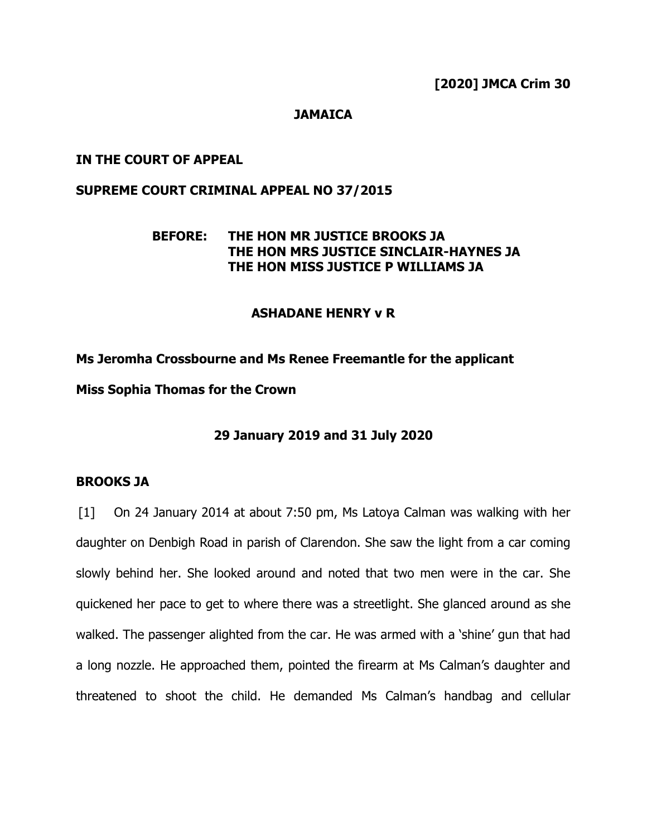### **JAMAICA**

#### **IN THE COURT OF APPEAL**

#### **SUPREME COURT CRIMINAL APPEAL NO 37/2015**

# **BEFORE: THE HON MR JUSTICE BROOKS JA THE HON MRS JUSTICE SINCLAIR-HAYNES JA THE HON MISS JUSTICE P WILLIAMS JA**

#### **ASHADANE HENRY v R**

# **Ms Jeromha Crossbourne and Ms Renee Freemantle for the applicant Miss Sophia Thomas for the Crown**

### **29 January 2019 and 31 July 2020**

#### **BROOKS JA**

[1] On 24 January 2014 at about 7:50 pm, Ms Latoya Calman was walking with her daughter on Denbigh Road in parish of Clarendon. She saw the light from a car coming slowly behind her. She looked around and noted that two men were in the car. She quickened her pace to get to where there was a streetlight. She glanced around as she walked. The passenger alighted from the car. He was armed with a 'shine' gun that had a long nozzle. He approached them, pointed the firearm at Ms Calman's daughter and threatened to shoot the child. He demanded Ms Calman's handbag and cellular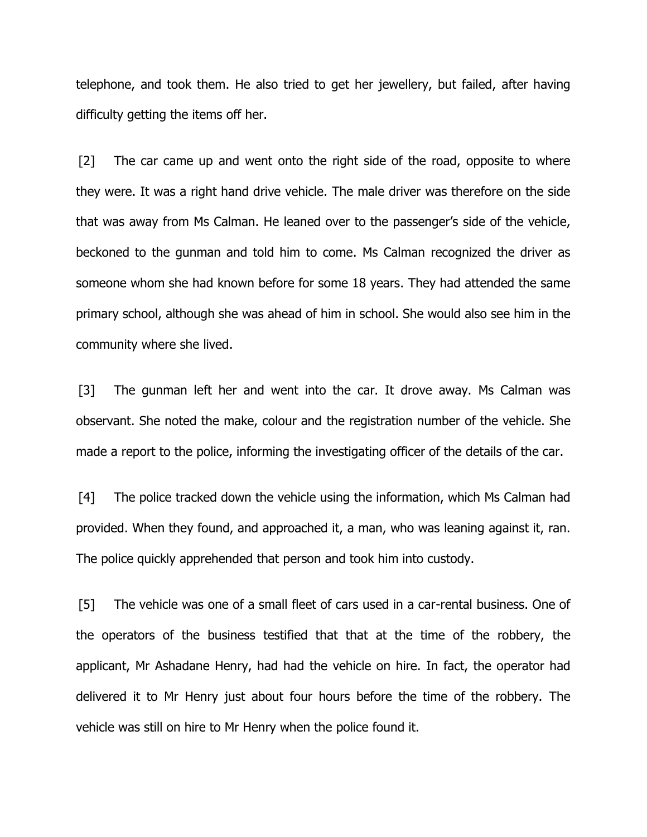telephone, and took them. He also tried to get her jewellery, but failed, after having difficulty getting the items off her.

[2] The car came up and went onto the right side of the road, opposite to where they were. It was a right hand drive vehicle. The male driver was therefore on the side that was away from Ms Calman. He leaned over to the passenger's side of the vehicle, beckoned to the gunman and told him to come. Ms Calman recognized the driver as someone whom she had known before for some 18 years. They had attended the same primary school, although she was ahead of him in school. She would also see him in the community where she lived.

[3] The gunman left her and went into the car. It drove away. Ms Calman was observant. She noted the make, colour and the registration number of the vehicle. She made a report to the police, informing the investigating officer of the details of the car.

[4] The police tracked down the vehicle using the information, which Ms Calman had provided. When they found, and approached it, a man, who was leaning against it, ran. The police quickly apprehended that person and took him into custody.

[5] The vehicle was one of a small fleet of cars used in a car-rental business. One of the operators of the business testified that that at the time of the robbery, the applicant, Mr Ashadane Henry, had had the vehicle on hire. In fact, the operator had delivered it to Mr Henry just about four hours before the time of the robbery. The vehicle was still on hire to Mr Henry when the police found it.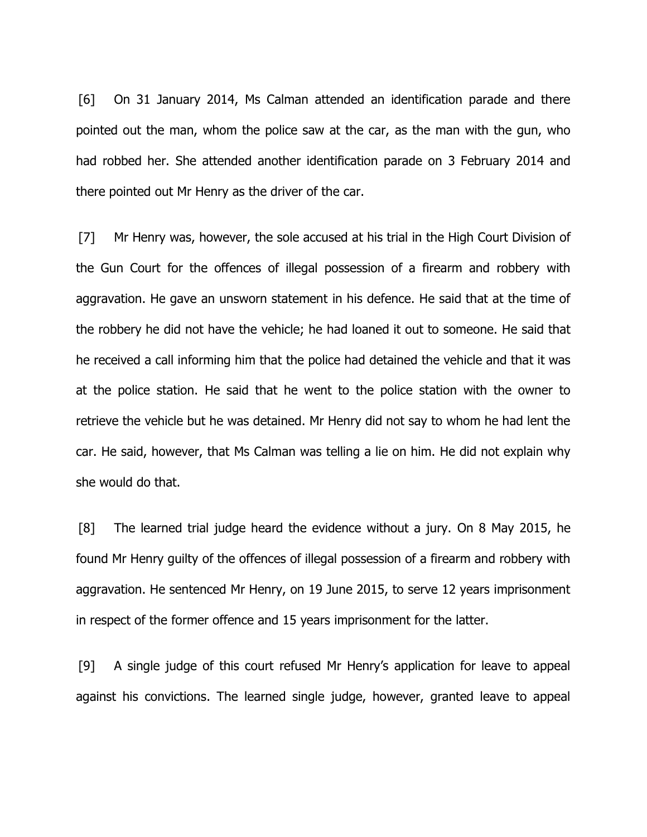[6] On 31 January 2014, Ms Calman attended an identification parade and there pointed out the man, whom the police saw at the car, as the man with the gun, who had robbed her. She attended another identification parade on 3 February 2014 and there pointed out Mr Henry as the driver of the car.

[7] Mr Henry was, however, the sole accused at his trial in the High Court Division of the Gun Court for the offences of illegal possession of a firearm and robbery with aggravation. He gave an unsworn statement in his defence. He said that at the time of the robbery he did not have the vehicle; he had loaned it out to someone. He said that he received a call informing him that the police had detained the vehicle and that it was at the police station. He said that he went to the police station with the owner to retrieve the vehicle but he was detained. Mr Henry did not say to whom he had lent the car. He said, however, that Ms Calman was telling a lie on him. He did not explain why she would do that.

[8] The learned trial judge heard the evidence without a jury. On 8 May 2015, he found Mr Henry guilty of the offences of illegal possession of a firearm and robbery with aggravation. He sentenced Mr Henry, on 19 June 2015, to serve 12 years imprisonment in respect of the former offence and 15 years imprisonment for the latter.

[9] A single judge of this court refused Mr Henry's application for leave to appeal against his convictions. The learned single judge, however, granted leave to appeal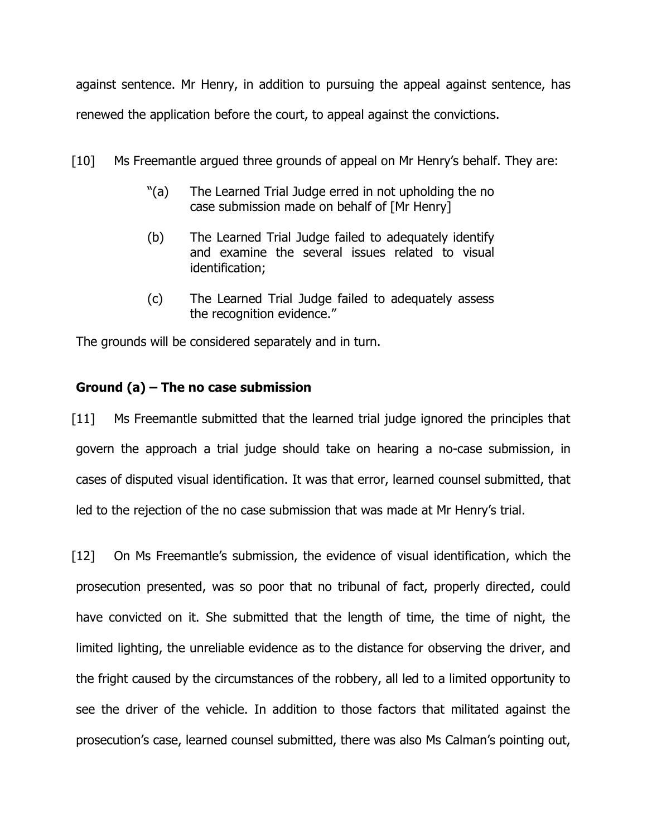against sentence. Mr Henry, in addition to pursuing the appeal against sentence, has renewed the application before the court, to appeal against the convictions.

[10] Ms Freemantle argued three grounds of appeal on Mr Henry's behalf. They are:

- "(a) The Learned Trial Judge erred in not upholding the no case submission made on behalf of [Mr Henry]
- (b) The Learned Trial Judge failed to adequately identify and examine the several issues related to visual identification;
- (c) The Learned Trial Judge failed to adequately assess the recognition evidence."

The grounds will be considered separately and in turn.

# **Ground (a) – The no case submission**

[11] Ms Freemantle submitted that the learned trial judge ignored the principles that govern the approach a trial judge should take on hearing a no-case submission, in cases of disputed visual identification. It was that error, learned counsel submitted, that led to the rejection of the no case submission that was made at Mr Henry's trial.

[12] On Ms Freemantle's submission, the evidence of visual identification, which the prosecution presented, was so poor that no tribunal of fact, properly directed, could have convicted on it. She submitted that the length of time, the time of night, the limited lighting, the unreliable evidence as to the distance for observing the driver, and the fright caused by the circumstances of the robbery, all led to a limited opportunity to see the driver of the vehicle. In addition to those factors that militated against the prosecution's case, learned counsel submitted, there was also Ms Calman's pointing out,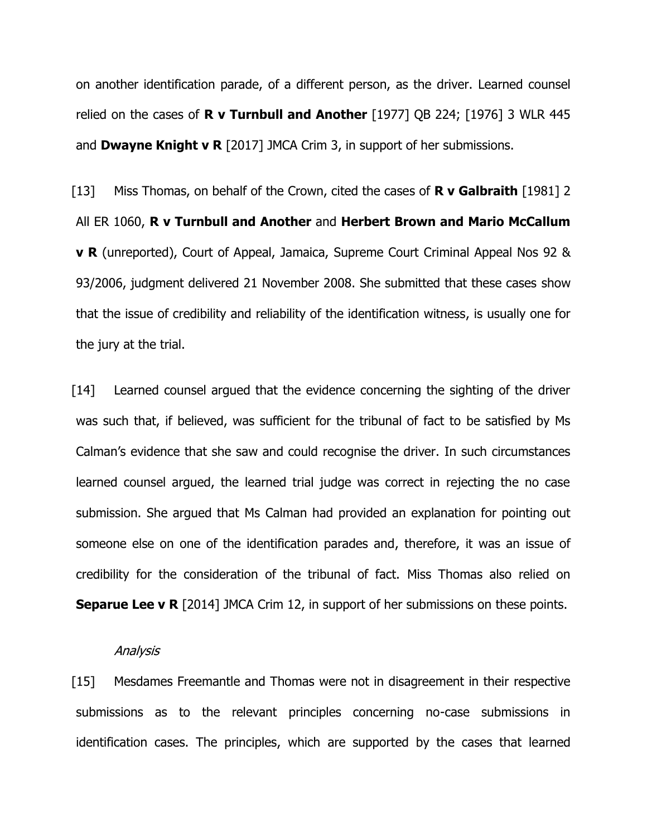on another identification parade, of a different person, as the driver. Learned counsel relied on the cases of **R v Turnbull and Another** [1977] QB 224; [1976] 3 WLR 445 and **Dwayne Knight v R** [2017] JMCA Crim 3, in support of her submissions.

[13] Miss Thomas, on behalf of the Crown, cited the cases of **R v Galbraith** [1981] 2 All ER 1060, **R v Turnbull and Another** and **Herbert Brown and Mario McCallum v R** (unreported), Court of Appeal, Jamaica, Supreme Court Criminal Appeal Nos 92 & 93/2006, judgment delivered 21 November 2008. She submitted that these cases show that the issue of credibility and reliability of the identification witness, is usually one for the jury at the trial.

[14] Learned counsel argued that the evidence concerning the sighting of the driver was such that, if believed, was sufficient for the tribunal of fact to be satisfied by Ms Calman's evidence that she saw and could recognise the driver. In such circumstances learned counsel argued, the learned trial judge was correct in rejecting the no case submission. She argued that Ms Calman had provided an explanation for pointing out someone else on one of the identification parades and, therefore, it was an issue of credibility for the consideration of the tribunal of fact. Miss Thomas also relied on **Separue Lee v R** [2014] JMCA Crim 12, in support of her submissions on these points.

#### Analysis

[15] Mesdames Freemantle and Thomas were not in disagreement in their respective submissions as to the relevant principles concerning no-case submissions in identification cases. The principles, which are supported by the cases that learned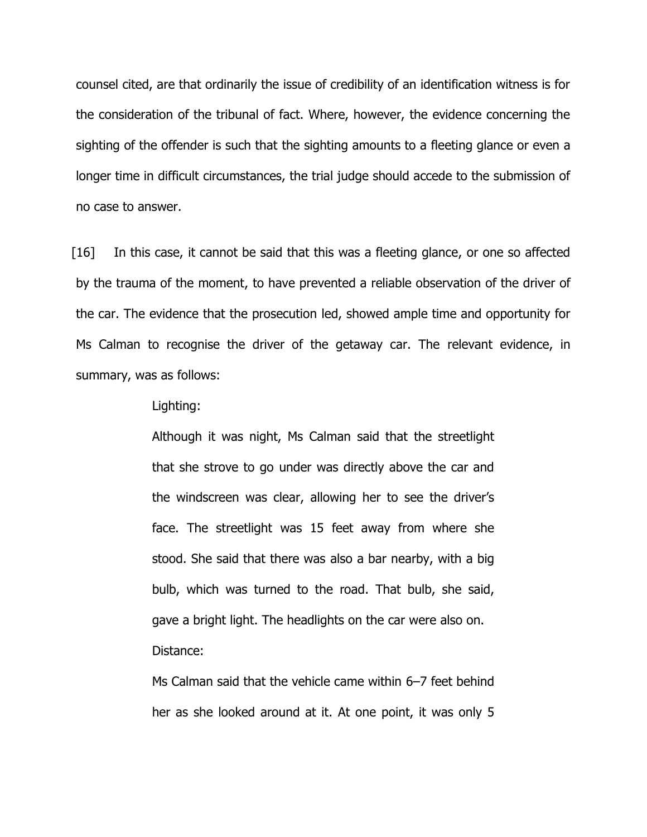counsel cited, are that ordinarily the issue of credibility of an identification witness is for the consideration of the tribunal of fact. Where, however, the evidence concerning the sighting of the offender is such that the sighting amounts to a fleeting glance or even a longer time in difficult circumstances, the trial judge should accede to the submission of no case to answer.

[16] In this case, it cannot be said that this was a fleeting glance, or one so affected by the trauma of the moment, to have prevented a reliable observation of the driver of the car. The evidence that the prosecution led, showed ample time and opportunity for Ms Calman to recognise the driver of the getaway car. The relevant evidence, in summary, was as follows:

#### Lighting:

Although it was night, Ms Calman said that the streetlight that she strove to go under was directly above the car and the windscreen was clear, allowing her to see the driver's face. The streetlight was 15 feet away from where she stood. She said that there was also a bar nearby, with a big bulb, which was turned to the road. That bulb, she said, gave a bright light. The headlights on the car were also on. Distance:

Ms Calman said that the vehicle came within 6–7 feet behind her as she looked around at it. At one point, it was only 5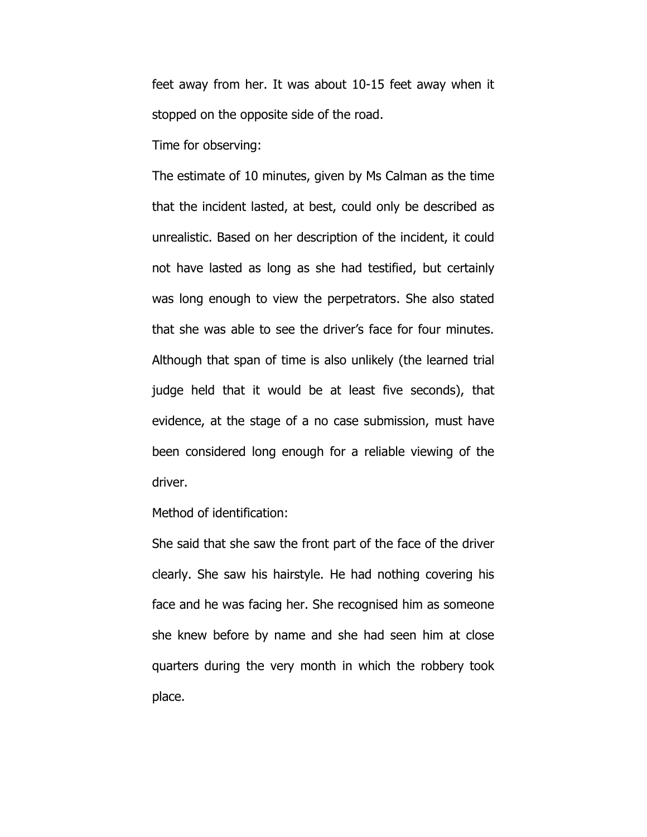feet away from her. It was about 10-15 feet away when it stopped on the opposite side of the road.

Time for observing:

The estimate of 10 minutes, given by Ms Calman as the time that the incident lasted, at best, could only be described as unrealistic. Based on her description of the incident, it could not have lasted as long as she had testified, but certainly was long enough to view the perpetrators. She also stated that she was able to see the driver's face for four minutes. Although that span of time is also unlikely (the learned trial judge held that it would be at least five seconds), that evidence, at the stage of a no case submission, must have been considered long enough for a reliable viewing of the driver.

Method of identification:

She said that she saw the front part of the face of the driver clearly. She saw his hairstyle. He had nothing covering his face and he was facing her. She recognised him as someone she knew before by name and she had seen him at close quarters during the very month in which the robbery took place.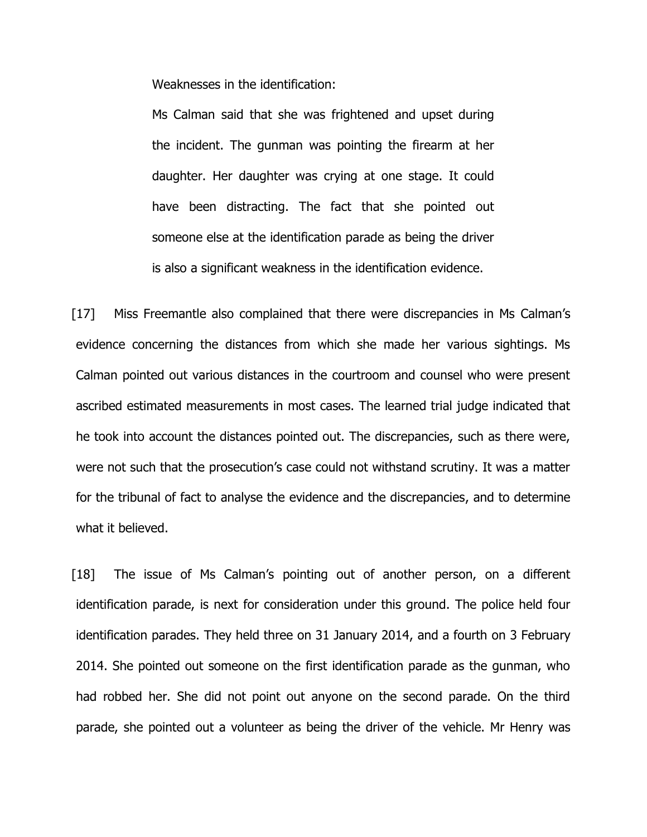Weaknesses in the identification:

Ms Calman said that she was frightened and upset during the incident. The gunman was pointing the firearm at her daughter. Her daughter was crying at one stage. It could have been distracting. The fact that she pointed out someone else at the identification parade as being the driver is also a significant weakness in the identification evidence.

[17] Miss Freemantle also complained that there were discrepancies in Ms Calman's evidence concerning the distances from which she made her various sightings. Ms Calman pointed out various distances in the courtroom and counsel who were present ascribed estimated measurements in most cases. The learned trial judge indicated that he took into account the distances pointed out. The discrepancies, such as there were, were not such that the prosecution's case could not withstand scrutiny. It was a matter for the tribunal of fact to analyse the evidence and the discrepancies, and to determine what it believed.

[18] The issue of Ms Calman's pointing out of another person, on a different identification parade, is next for consideration under this ground. The police held four identification parades. They held three on 31 January 2014, and a fourth on 3 February 2014. She pointed out someone on the first identification parade as the gunman, who had robbed her. She did not point out anyone on the second parade. On the third parade, she pointed out a volunteer as being the driver of the vehicle. Mr Henry was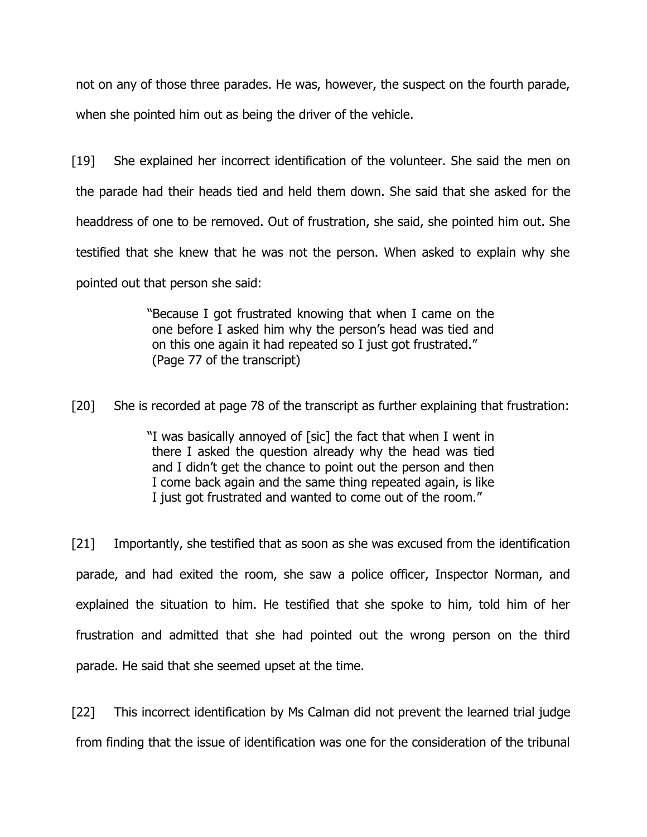not on any of those three parades. He was, however, the suspect on the fourth parade, when she pointed him out as being the driver of the vehicle.

[19] She explained her incorrect identification of the volunteer. She said the men on the parade had their heads tied and held them down. She said that she asked for the headdress of one to be removed. Out of frustration, she said, she pointed him out. She testified that she knew that he was not the person. When asked to explain why she pointed out that person she said:

> "Because I got frustrated knowing that when I came on the one before I asked him why the person's head was tied and on this one again it had repeated so I just got frustrated." (Page 77 of the transcript)

[20] She is recorded at page 78 of the transcript as further explaining that frustration:

"I was basically annoyed of [sic] the fact that when I went in there I asked the question already why the head was tied and I didn't get the chance to point out the person and then I come back again and the same thing repeated again, is like I just got frustrated and wanted to come out of the room."

[21] Importantly, she testified that as soon as she was excused from the identification parade, and had exited the room, she saw a police officer, Inspector Norman, and explained the situation to him. He testified that she spoke to him, told him of her frustration and admitted that she had pointed out the wrong person on the third parade. He said that she seemed upset at the time.

[22] This incorrect identification by Ms Calman did not prevent the learned trial judge from finding that the issue of identification was one for the consideration of the tribunal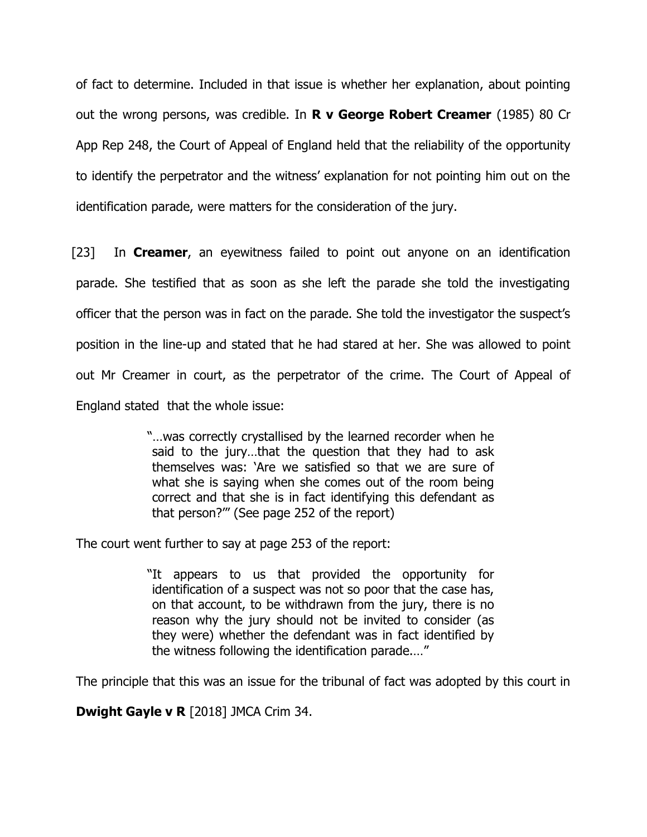of fact to determine. Included in that issue is whether her explanation, about pointing out the wrong persons, was credible. In **R v George Robert Creamer** (1985) 80 Cr App Rep 248, the Court of Appeal of England held that the reliability of the opportunity to identify the perpetrator and the witness' explanation for not pointing him out on the identification parade, were matters for the consideration of the jury.

[23] In **Creamer**, an eyewitness failed to point out anyone on an identification parade. She testified that as soon as she left the parade she told the investigating officer that the person was in fact on the parade. She told the investigator the suspect's position in the line-up and stated that he had stared at her. She was allowed to point out Mr Creamer in court, as the perpetrator of the crime. The Court of Appeal of England stated that the whole issue:

> "…was correctly crystallised by the learned recorder when he said to the jury…that the question that they had to ask themselves was: 'Are we satisfied so that we are sure of what she is saying when she comes out of the room being correct and that she is in fact identifying this defendant as that person?'" (See page 252 of the report)

The court went further to say at page 253 of the report:

"It appears to us that provided the opportunity for identification of a suspect was not so poor that the case has, on that account, to be withdrawn from the jury, there is no reason why the jury should not be invited to consider (as they were) whether the defendant was in fact identified by the witness following the identification parade.…"

The principle that this was an issue for the tribunal of fact was adopted by this court in

**Dwight Gayle v R** [2018] JMCA Crim 34.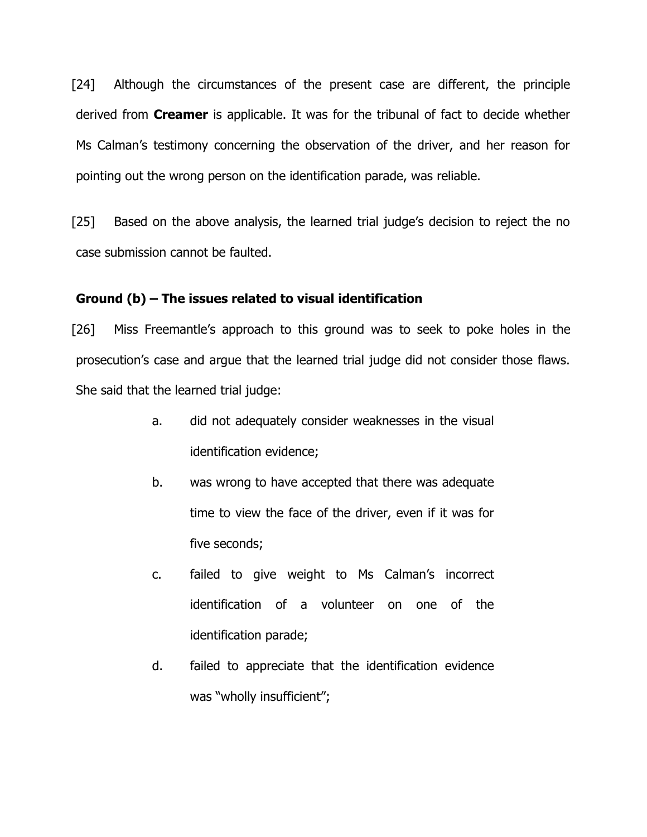[24] Although the circumstances of the present case are different, the principle derived from **Creamer** is applicable. It was for the tribunal of fact to decide whether Ms Calman's testimony concerning the observation of the driver, and her reason for pointing out the wrong person on the identification parade, was reliable.

[25] Based on the above analysis, the learned trial judge's decision to reject the no case submission cannot be faulted.

# **Ground (b) – The issues related to visual identification**

[26] Miss Freemantle's approach to this ground was to seek to poke holes in the prosecution's case and argue that the learned trial judge did not consider those flaws. She said that the learned trial judge:

- a. did not adequately consider weaknesses in the visual identification evidence;
- b. was wrong to have accepted that there was adequate time to view the face of the driver, even if it was for five seconds;
- c. failed to give weight to Ms Calman's incorrect identification of a volunteer on one of the identification parade;
- d. failed to appreciate that the identification evidence was "wholly insufficient";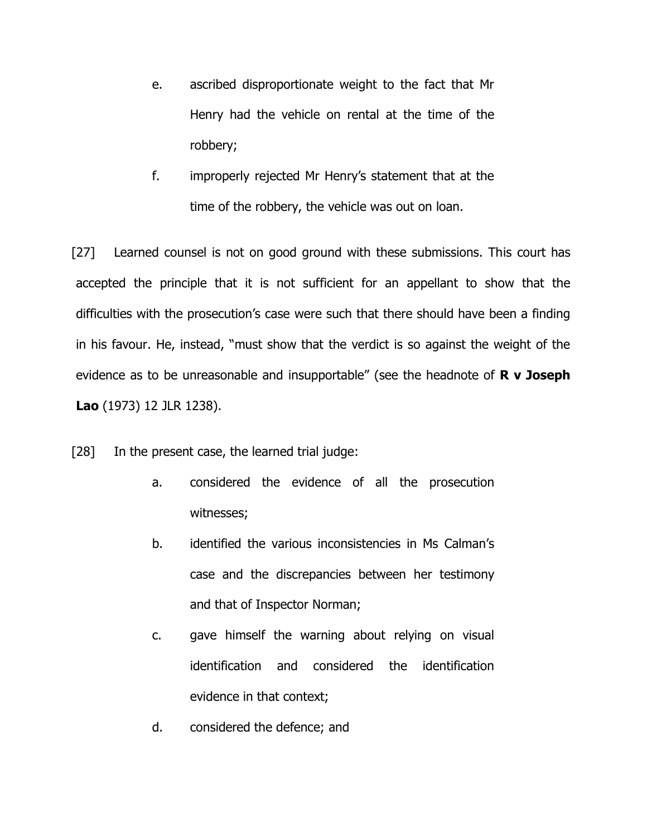- e. ascribed disproportionate weight to the fact that Mr Henry had the vehicle on rental at the time of the robbery;
- f. improperly rejected Mr Henry's statement that at the time of the robbery, the vehicle was out on loan.

[27] Learned counsel is not on good ground with these submissions. This court has accepted the principle that it is not sufficient for an appellant to show that the difficulties with the prosecution's case were such that there should have been a finding in his favour. He, instead, "must show that the verdict is so against the weight of the evidence as to be unreasonable and insupportable" (see the headnote of **R v Joseph Lao** (1973) 12 JLR 1238).

- [28] In the present case, the learned trial judge:
	- a. considered the evidence of all the prosecution witnesses;
	- b. identified the various inconsistencies in Ms Calman's case and the discrepancies between her testimony and that of Inspector Norman;
	- c. gave himself the warning about relying on visual identification and considered the identification evidence in that context;
	- d. considered the defence; and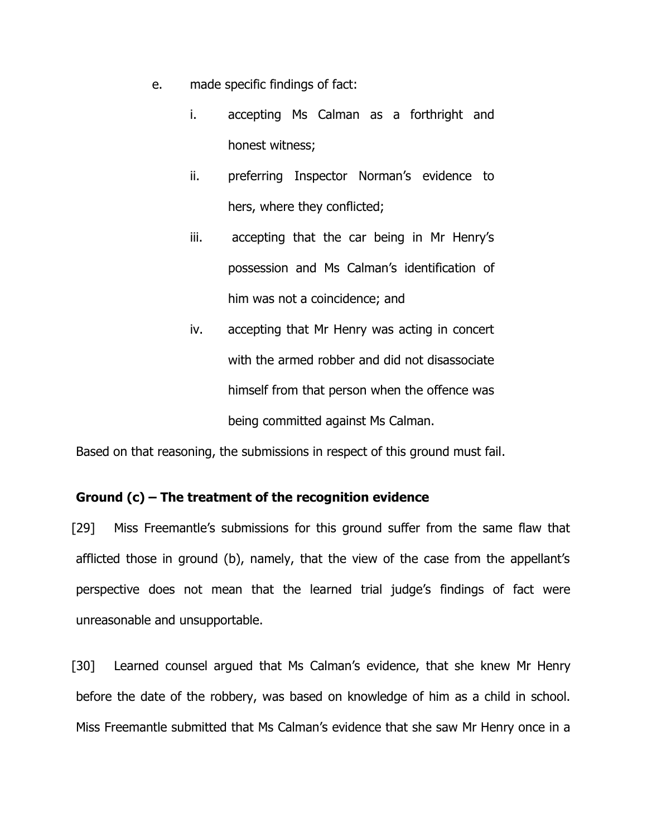- e. made specific findings of fact:
	- i. accepting Ms Calman as a forthright and honest witness;
	- ii. preferring Inspector Norman's evidence to hers, where they conflicted;
	- iii. accepting that the car being in Mr Henry's possession and Ms Calman's identification of him was not a coincidence; and
	- iv. accepting that Mr Henry was acting in concert with the armed robber and did not disassociate himself from that person when the offence was being committed against Ms Calman.

Based on that reasoning, the submissions in respect of this ground must fail.

# **Ground (c) – The treatment of the recognition evidence**

[29] Miss Freemantle's submissions for this ground suffer from the same flaw that afflicted those in ground (b), namely, that the view of the case from the appellant's perspective does not mean that the learned trial judge's findings of fact were unreasonable and unsupportable.

[30] Learned counsel argued that Ms Calman's evidence, that she knew Mr Henry before the date of the robbery, was based on knowledge of him as a child in school. Miss Freemantle submitted that Ms Calman's evidence that she saw Mr Henry once in a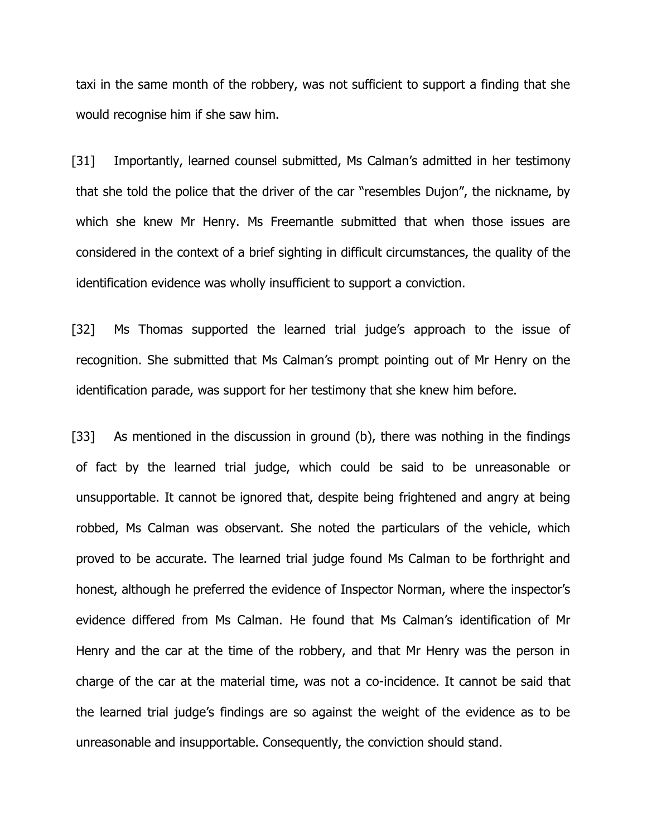taxi in the same month of the robbery, was not sufficient to support a finding that she would recognise him if she saw him.

[31] Importantly, learned counsel submitted, Ms Calman's admitted in her testimony that she told the police that the driver of the car "resembles Dujon", the nickname, by which she knew Mr Henry. Ms Freemantle submitted that when those issues are considered in the context of a brief sighting in difficult circumstances, the quality of the identification evidence was wholly insufficient to support a conviction.

[32] Ms Thomas supported the learned trial judge's approach to the issue of recognition. She submitted that Ms Calman's prompt pointing out of Mr Henry on the identification parade, was support for her testimony that she knew him before.

[33] As mentioned in the discussion in ground (b), there was nothing in the findings of fact by the learned trial judge, which could be said to be unreasonable or unsupportable. It cannot be ignored that, despite being frightened and angry at being robbed, Ms Calman was observant. She noted the particulars of the vehicle, which proved to be accurate. The learned trial judge found Ms Calman to be forthright and honest, although he preferred the evidence of Inspector Norman, where the inspector's evidence differed from Ms Calman. He found that Ms Calman's identification of Mr Henry and the car at the time of the robbery, and that Mr Henry was the person in charge of the car at the material time, was not a co-incidence. It cannot be said that the learned trial judge's findings are so against the weight of the evidence as to be unreasonable and insupportable. Consequently, the conviction should stand.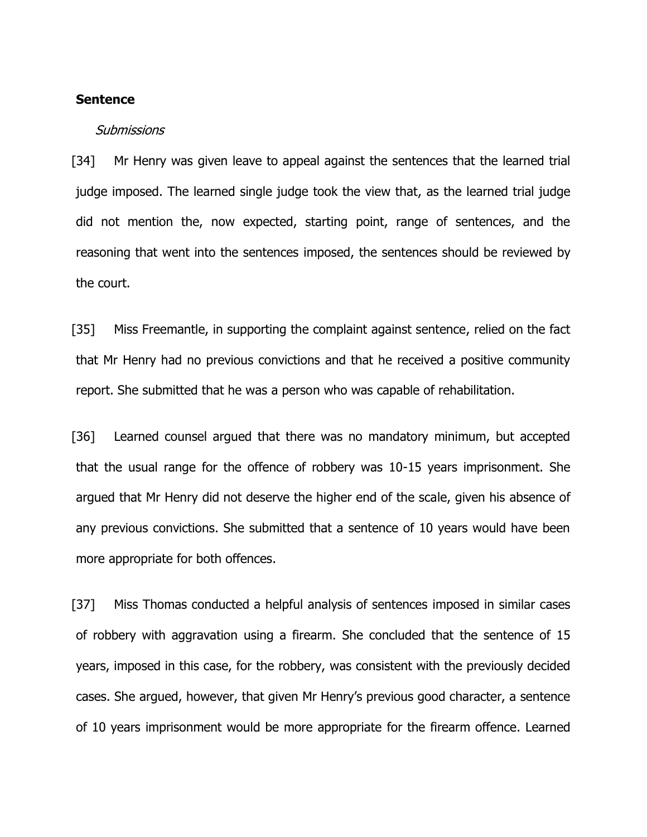#### **Sentence**

#### **Submissions**

[34] Mr Henry was given leave to appeal against the sentences that the learned trial judge imposed. The learned single judge took the view that, as the learned trial judge did not mention the, now expected, starting point, range of sentences, and the reasoning that went into the sentences imposed, the sentences should be reviewed by the court.

[35] Miss Freemantle, in supporting the complaint against sentence, relied on the fact that Mr Henry had no previous convictions and that he received a positive community report. She submitted that he was a person who was capable of rehabilitation.

[36] Learned counsel argued that there was no mandatory minimum, but accepted that the usual range for the offence of robbery was 10-15 years imprisonment. She argued that Mr Henry did not deserve the higher end of the scale, given his absence of any previous convictions. She submitted that a sentence of 10 years would have been more appropriate for both offences.

[37] Miss Thomas conducted a helpful analysis of sentences imposed in similar cases of robbery with aggravation using a firearm. She concluded that the sentence of 15 years, imposed in this case, for the robbery, was consistent with the previously decided cases. She argued, however, that given Mr Henry's previous good character, a sentence of 10 years imprisonment would be more appropriate for the firearm offence. Learned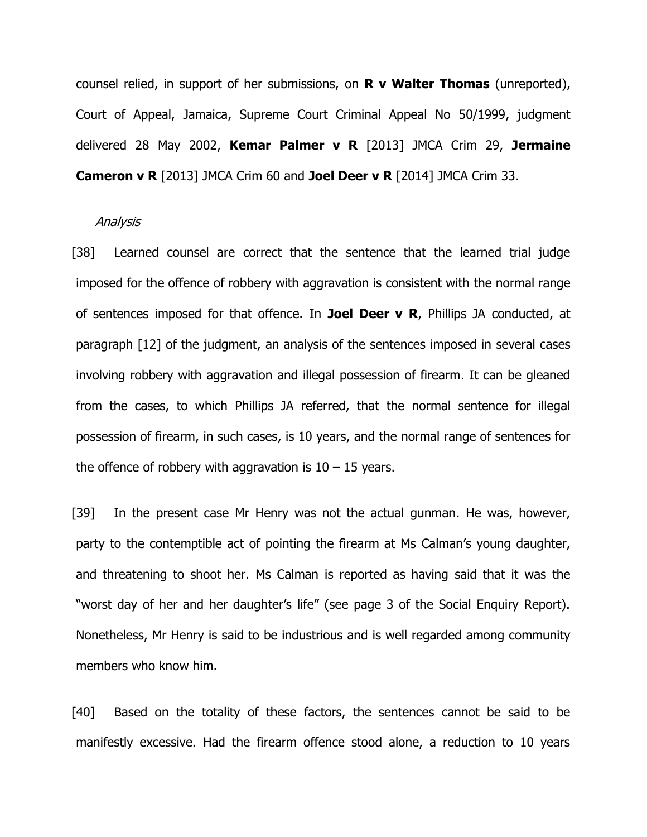counsel relied, in support of her submissions, on **R v Walter Thomas** (unreported), Court of Appeal, Jamaica, Supreme Court Criminal Appeal No 50/1999, judgment delivered 28 May 2002, **Kemar Palmer v R** [2013] JMCA Crim 29, **Jermaine Cameron v R** [2013] JMCA Crim 60 and **Joel Deer v R** [2014] JMCA Crim 33.

#### Analysis

[38] Learned counsel are correct that the sentence that the learned trial judge imposed for the offence of robbery with aggravation is consistent with the normal range of sentences imposed for that offence. In **Joel Deer v R**, Phillips JA conducted, at paragraph [12] of the judgment, an analysis of the sentences imposed in several cases involving robbery with aggravation and illegal possession of firearm. It can be gleaned from the cases, to which Phillips JA referred, that the normal sentence for illegal possession of firearm, in such cases, is 10 years, and the normal range of sentences for the offence of robbery with aggravation is  $10 - 15$  years.

[39] In the present case Mr Henry was not the actual gunman. He was, however, party to the contemptible act of pointing the firearm at Ms Calman's young daughter, and threatening to shoot her. Ms Calman is reported as having said that it was the "worst day of her and her daughter's life" (see page 3 of the Social Enquiry Report). Nonetheless, Mr Henry is said to be industrious and is well regarded among community members who know him.

[40] Based on the totality of these factors, the sentences cannot be said to be manifestly excessive. Had the firearm offence stood alone, a reduction to 10 years